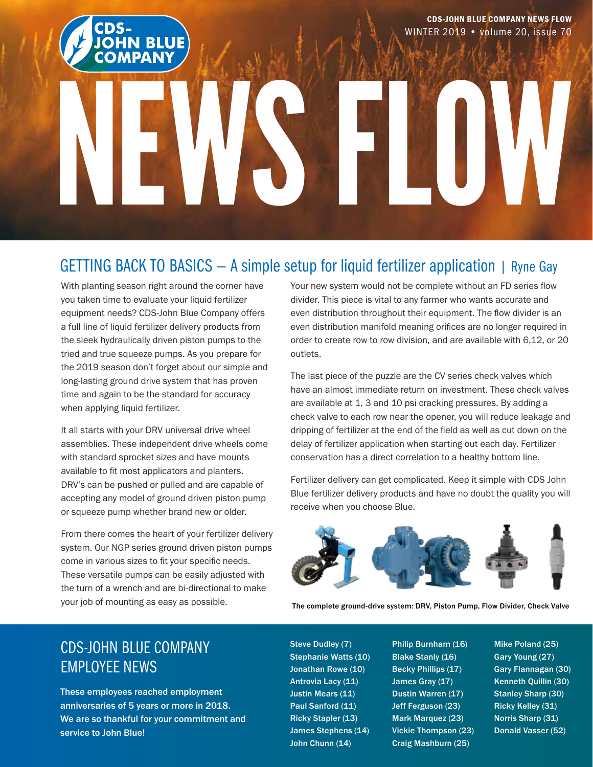

### GETTING BACK TO BASICS — A simple setup for liquid fertilizer application | Ryne Gay

With planting season right around the corner have you taken time to evaluate your liquid fertilizer equipment needs? CDS-John Blue Company offers a full line of liquid fertilizer delivery products from the sleek hydraulically driven piston pumps to the tried and true squeeze pumps. As you prepare for the 2019 season don't forget about our simple and long-lasting ground drive system that has proven time and again to be the standard for accuracy when applying liquid fertilizer.

It all starts with your DRV universal drive wheel assemblies. These independent drive wheels come with standard sprocket sizes and have mounts available to fit most applicators and planters. DRV's can be pushed or pulled and are capable of accepting any model of ground driven piston pump or squeeze pump whether brand new or older.

From there comes the heart of your fertilizer delivery system. Our NGP series ground driven piston pumps come in various sizes to fit your specific needs. These versatile pumps can be easily adjusted with the turn of a wrench and are bi-directional to make your job of mounting as easy as possible.

Your new system would not be complete without an FD series flow divider. This piece is vital to any farmer who wants accurate and even distribution throughout their equipment. The flow divider is an even distribution manifold meaning orifices are no longer required in order to create row to row division, and are available with 6,12, or 20 outlets.

The last piece of the puzzle are the CV series check valves which have an almost immediate return on investment. These check valves are available at 1, 3 and 10 psi cracking pressures. By adding a check valve to each row near the opener, you will reduce leakage and dripping of fertilizer at the end of the field as well as cut down on the delay of fertilizer application when starting out each day. Fertilizer conservation has a direct correlation to a healthy bottom line.

Fertilizer delivery can get complicated. Keep it simple with CDS John Blue fertilizer delivery products and have no doubt the quality you will receive when you choose Blue.



The complete ground-drive system: DRV, Piston Pump, Flow Divider, Check Valve

## CDS-JOHN BLUE COMPANY EMPLOYEE NEWS

These employees reached employment anniversaries of 5 years or more in 2018. We are so thankful for your commitment and service to John Blue!

Steve Dudley (7) Stephanie Watts (10) Jonathan Rowe (10) Antrovia Lacy (11) Justin Mears (11) Paul Sanford (11) Ricky Stapler (13) James Stephens (14) John Chunn (14)

Philip Burnham (16) Blake Stanly (16) Becky Phillips (17) James Gray (17) Dustin Warren (17) Jeff Ferguson (23) Mark Marquez (23) Vickie Thompson (23) Craig Mashburn (25)

Mike Poland (25) Gary Young (27) Gary Flannagan (30) Kenneth Quillin (30) Stanley Sharp (30) Ricky Kelley (31) Norris Sharp (31) Donald Vasser (52)